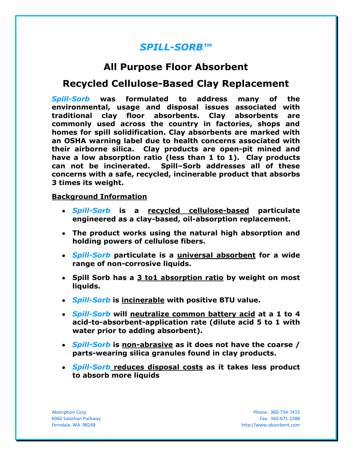# *SPILL-SORB™*

# **All Purpose Floor Absorbent**

# **Recycled Cellulose-Based Clay Replacement**

*Spill-Sorb* **was formulated to address many of the environmental, usage and disposal issues associated with traditional clay floor absorbents. Clay absorbents are commonly used across the country in factories, shops and homes for spill solidification. Clay absorbents are marked with an OSHA warning label due to health concerns associated with their airborne silica. Clay products are open-pit mined and have a low absorption ratio (less than 1 to 1). Clay products can not be incinerated. Spill–Sorb addresses all of these concerns with a safe, recycled, incinerable product that absorbs 3 times its weight.**

#### **Background Information**

- *Spill-Sorb* **is a recycled cellulose***-***based particulate engineered as a clay-based, oil-absorption replacement.**
- **The product works using the natural high absorption and holding powers of cellulose fibers.**
- *Spill-Sorb* **particulate is a universal absorbent for a wide range of non-corrosive liquids.**
- **Spill Sorb has a 3 to1 absorption ratio by weight on most liquids.**
- *Spill-Sorb* **is incinerable with positive BTU value.**
- *Spill-Sorb* **will neutralize common battery acid at a 1 to 4 acid-to-absorbent-application rate (dilute acid 5 to 1 with water prior to adding absorbent).**
- *Spill-Sorb* **is non-abrasive as it does not have the coarse / parts-wearing silica granules found in clay products.**
- *Spill-Sorb* **reduces disposal costs as it takes less product to absorb more liquids**